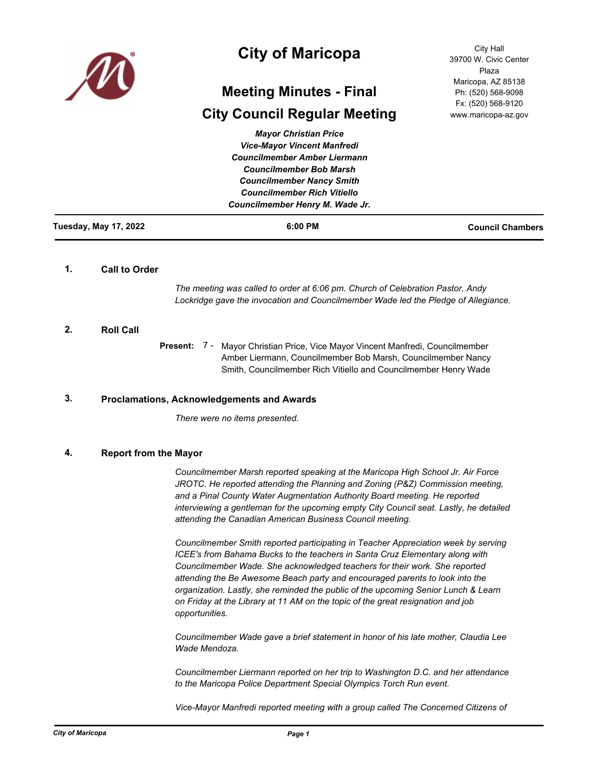

# **City of Maricopa**

# **Meeting Minutes - Final**

# **City Council Regular Meeting**

City Hall 39700 W. Civic Center Plaza Maricopa, AZ 85138 Ph: (520) 568-9098 Fx: (520) 568-9120 www.maricopa-az.gov

| <b>Tuesday, May 17, 2022</b> | 6:00 PM                             | <b>Council Chambers</b> |
|------------------------------|-------------------------------------|-------------------------|
|                              | Councilmember Henry M. Wade Jr.     |                         |
|                              | <b>Councilmember Rich Vitiello</b>  |                         |
|                              | <b>Councilmember Nancy Smith</b>    |                         |
|                              | <b>Councilmember Bob Marsh</b>      |                         |
|                              | <b>Councilmember Amber Liermann</b> |                         |
|                              | <b>Vice-Mayor Vincent Manfredi</b>  |                         |
|                              | <b>Mayor Christian Price</b>        |                         |

## **1. Call to Order**

*The meeting was called to order at 6:06 pm. Church of Celebration Pastor, Andy Lockridge gave the invocation and Councilmember Wade led the Pledge of Allegiance.*

## **2. Roll Call**

Present: 7 - Mayor Christian Price, Vice Mayor Vincent Manfredi, Councilmember Amber Liermann, Councilmember Bob Marsh, Councilmember Nancy Smith, Councilmember Rich Vitiello and Councilmember Henry Wade

## **3. Proclamations, Acknowledgements and Awards**

*There were no items presented.*

## **4. Report from the Mayor**

*Councilmember Marsh reported speaking at the Maricopa High School Jr. Air Force*  JROTC. He reported attending the Planning and Zoning (P&Z) Commission meeting, *and a Pinal County Water Augmentation Authority Board meeting. He reported interviewing a gentleman for the upcoming empty City Council seat. Lastly, he detailed attending the Canadian American Business Council meeting.* 

*Councilmember Smith reported participating in Teacher Appreciation week by serving ICEE's from Bahama Bucks to the teachers in Santa Cruz Elementary along with Councilmember Wade. She acknowledged teachers for their work. She reported attending the Be Awesome Beach party and encouraged parents to look into the organization. Lastly, she reminded the public of the upcoming Senior Lunch & Learn on Friday at the Library at 11 AM on the topic of the great resignation and job opportunities.* 

*Councilmember Wade gave a brief statement in honor of his late mother, Claudia Lee Wade Mendoza.*

*Councilmember Liermann reported on her trip to Washington D.C. and her attendance to the Maricopa Police Department Special Olympics Torch Run event.* 

*Vice-Mayor Manfredi reported meeting with a group called The Concerned Citizens of*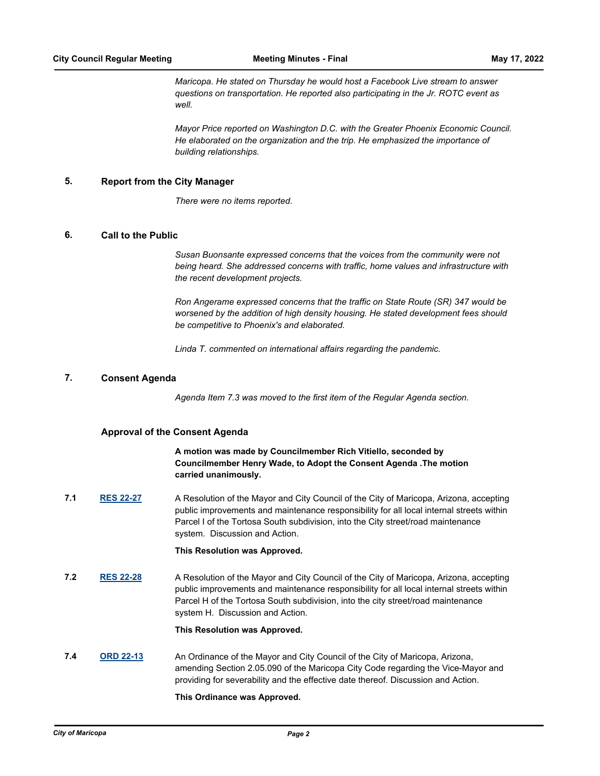*Maricopa. He stated on Thursday he would host a Facebook Live stream to answer questions on transportation. He reported also participating in the Jr. ROTC event as well.* 

*Mayor Price reported on Washington D.C. with the Greater Phoenix Economic Council. He elaborated on the organization and the trip. He emphasized the importance of building relationships.*

### **5. Report from the City Manager**

*There were no items reported.*

### **6. Call to the Public**

*Susan Buonsante expressed concerns that the voices from the community were not being heard. She addressed concerns with traffic, home values and infrastructure with the recent development projects.* 

*Ron Angerame expressed concerns that the traffic on State Route (SR) 347 would be worsened by the addition of high density housing. He stated development fees should be competitive to Phoenix's and elaborated.* 

*Linda T. commented on international affairs regarding the pandemic.*

### **7. Consent Agenda**

*Agenda Item 7.3 was moved to the first item of the Regular Agenda section.*

#### **Approval of the Consent Agenda**

**A motion was made by Councilmember Rich Vitiello, seconded by Councilmember Henry Wade, to Adopt the Consent Agenda .The motion carried unanimously.**

**7.1 [RES 22-27](http://maricopa.legistar.com/gateway.aspx?m=l&id=/matter.aspx?key=11229)** A Resolution of the Mayor and City Council of the City of Maricopa, Arizona, accepting public improvements and maintenance responsibility for all local internal streets within Parcel I of the Tortosa South subdivision, into the City street/road maintenance system. Discussion and Action.

#### **This Resolution was Approved.**

**7.2 [RES 22-28](http://maricopa.legistar.com/gateway.aspx?m=l&id=/matter.aspx?key=11230)** A Resolution of the Mayor and City Council of the City of Maricopa, Arizona, accepting public improvements and maintenance responsibility for all local internal streets within Parcel H of the Tortosa South subdivision, into the city street/road maintenance system H. Discussion and Action.

#### **This Resolution was Approved.**

**7.4 [ORD 22-13](http://maricopa.legistar.com/gateway.aspx?m=l&id=/matter.aspx?key=11245)** An Ordinance of the Mayor and City Council of the City of Maricopa, Arizona, amending Section 2.05.090 of the Maricopa City Code regarding the Vice-Mayor and providing for severability and the effective date thereof. Discussion and Action.

#### **This Ordinance was Approved.**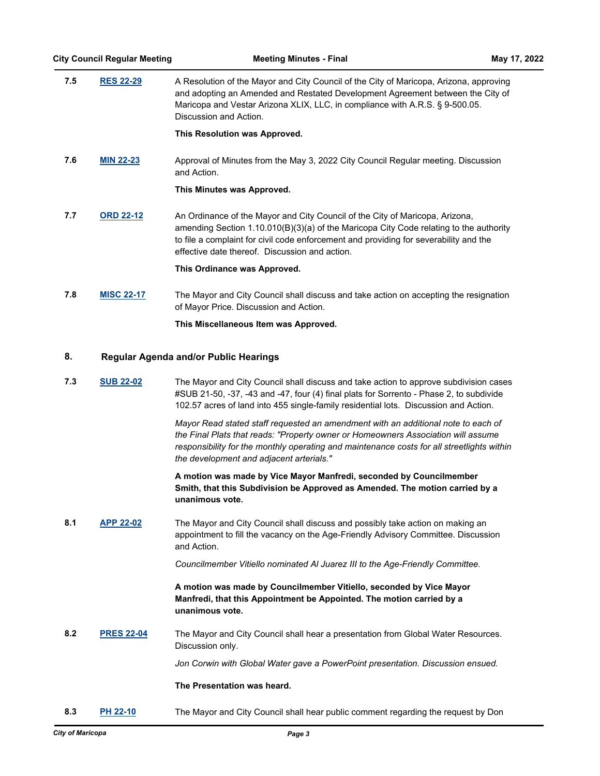| 7.5 | <b>RES 22-29</b>  | A Resolution of the Mayor and City Council of the City of Maricopa, Arizona, approving<br>and adopting an Amended and Restated Development Agreement between the City of<br>Maricopa and Vestar Arizona XLIX, LLC, in compliance with A.R.S. § 9-500.05.<br>Discussion and Action.                                  |
|-----|-------------------|---------------------------------------------------------------------------------------------------------------------------------------------------------------------------------------------------------------------------------------------------------------------------------------------------------------------|
|     |                   | This Resolution was Approved.                                                                                                                                                                                                                                                                                       |
| 7.6 | <b>MIN 22-23</b>  | Approval of Minutes from the May 3, 2022 City Council Regular meeting. Discussion<br>and Action.                                                                                                                                                                                                                    |
|     |                   | This Minutes was Approved.                                                                                                                                                                                                                                                                                          |
| 7.7 | <b>ORD 22-12</b>  | An Ordinance of the Mayor and City Council of the City of Maricopa, Arizona,<br>amending Section $1.10.010(B)(3)(a)$ of the Maricopa City Code relating to the authority<br>to file a complaint for civil code enforcement and providing for severability and the<br>effective date thereof. Discussion and action. |
|     |                   | This Ordinance was Approved.                                                                                                                                                                                                                                                                                        |
| 7.8 | <b>MISC 22-17</b> | The Mayor and City Council shall discuss and take action on accepting the resignation<br>of Mayor Price. Discussion and Action.                                                                                                                                                                                     |

**This Miscellaneous Item was Approved.**

## **8. Regular Agenda and/or Public Hearings**

**7.3 [SUB 22-02](http://maricopa.legistar.com/gateway.aspx?m=l&id=/matter.aspx?key=11241)** The Mayor and City Council shall discuss and take action to approve subdivision cases #SUB 21-50, -37, -43 and -47, four (4) final plats for Sorrento - Phase 2, to subdivide 102.57 acres of land into 455 single-family residential lots. Discussion and Action.

> *Mayor Read stated staff requested an amendment with an additional note to each of the Final Plats that reads: "Property owner or Homeowners Association will assume responsibility for the monthly operating and maintenance costs for all streetlights within the development and adjacent arterials."*

**A motion was made by Vice Mayor Manfredi, seconded by Councilmember Smith, that this Subdivision be Approved as Amended. The motion carried by a unanimous vote.**

**8.1 [APP 22-02](http://maricopa.legistar.com/gateway.aspx?m=l&id=/matter.aspx?key=11248)** The Mayor and City Council shall discuss and possibly take action on making an appointment to fill the vacancy on the Age-Friendly Advisory Committee. Discussion and Action.

*Councilmember Vitiello nominated Al Juarez III to the Age-Friendly Committee.*

## **A motion was made by Councilmember Vitiello, seconded by Vice Mayor Manfredi, that this Appointment be Appointed. The motion carried by a unanimous vote.**

**8.2 [PRES 22-04](http://maricopa.legistar.com/gateway.aspx?m=l&id=/matter.aspx?key=11247)** The Mayor and City Council shall hear a presentation from Global Water Resources. Discussion only.

*Jon Corwin with Global Water gave a PowerPoint presentation. Discussion ensued.*

## **The Presentation was heard.**

**8.3 [PH 22-10](http://maricopa.legistar.com/gateway.aspx?m=l&id=/matter.aspx?key=11227)** The Mayor and City Council shall hear public comment regarding the request by Don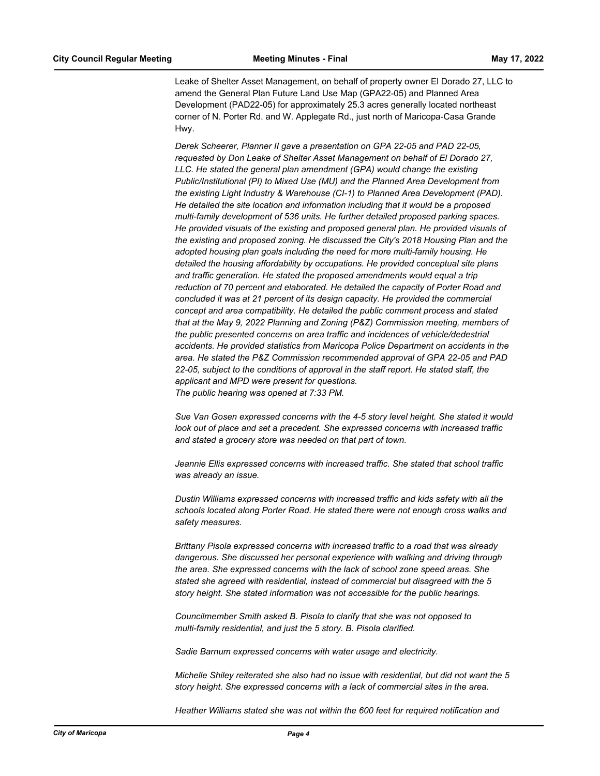Leake of Shelter Asset Management, on behalf of property owner El Dorado 27, LLC to amend the General Plan Future Land Use Map (GPA22-05) and Planned Area Development (PAD22-05) for approximately 25.3 acres generally located northeast corner of N. Porter Rd. and W. Applegate Rd., just north of Maricopa-Casa Grande Hwy.

*Derek Scheerer, Planner II gave a presentation on GPA 22-05 and PAD 22-05, requested by Don Leake of Shelter Asset Management on behalf of El Dorado 27, LLC. He stated the general plan amendment (GPA) would change the existing Public/Institutional (PI) to Mixed Use (MU) and the Planned Area Development from the existing Light Industry & Warehouse (CI-1) to Planned Area Development (PAD). He detailed the site location and information including that it would be a proposed multi-family development of 536 units. He further detailed proposed parking spaces. He provided visuals of the existing and proposed general plan. He provided visuals of the existing and proposed zoning. He discussed the City's 2018 Housing Plan and the adopted housing plan goals including the need for more multi-family housing. He detailed the housing affordability by occupations. He provided conceptual site plans and traffic generation. He stated the proposed amendments would equal a trip reduction of 70 percent and elaborated. He detailed the capacity of Porter Road and concluded it was at 21 percent of its design capacity. He provided the commercial concept and area compatibility. He detailed the public comment process and stated that at the May 9, 2022 Planning and Zoning (P&Z) Commission meeting, members of the public presented concerns on area traffic and incidences of vehicle/dedestrial accidents. He provided statistics from Maricopa Police Department on accidents in the area. He stated the P&Z Commission recommended approval of GPA 22-05 and PAD 22-05, subject to the conditions of approval in the staff report. He stated staff, the applicant and MPD were present for questions. The public hearing was opened at 7:33 PM.*

*Sue Van Gosen expressed concerns with the 4-5 story level height. She stated it would look out of place and set a precedent. She expressed concerns with increased traffic and stated a grocery store was needed on that part of town.* 

*Jeannie Ellis expressed concerns with increased traffic. She stated that school traffic was already an issue.* 

*Dustin Williams expressed concerns with increased traffic and kids safety with all the schools located along Porter Road. He stated there were not enough cross walks and safety measures.* 

*Brittany Pisola expressed concerns with increased traffic to a road that was already dangerous. She discussed her personal experience with walking and driving through the area. She expressed concerns with the lack of school zone speed areas. She stated she agreed with residential, instead of commercial but disagreed with the 5 story height. She stated information was not accessible for the public hearings.*

*Councilmember Smith asked B. Pisola to clarify that she was not opposed to multi-family residential, and just the 5 story. B. Pisola clarified.* 

*Sadie Barnum expressed concerns with water usage and electricity.* 

*Michelle Shiley reiterated she also had no issue with residential, but did not want the 5 story height. She expressed concerns with a lack of commercial sites in the area.* 

*Heather Williams stated she was not within the 600 feet for required notification and*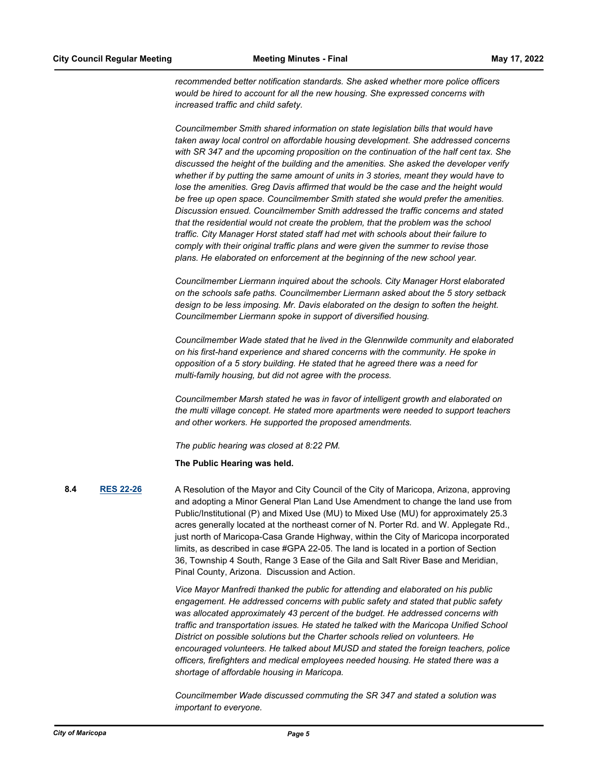*recommended better notification standards. She asked whether more police officers would be hired to account for all the new housing. She expressed concerns with increased traffic and child safety.* 

*Councilmember Smith shared information on state legislation bills that would have taken away local control on affordable housing development. She addressed concerns with SR 347 and the upcoming proposition on the continuation of the half cent tax. She discussed the height of the building and the amenities. She asked the developer verify whether if by putting the same amount of units in 3 stories, meant they would have to lose the amenities. Greg Davis affirmed that would be the case and the height would be free up open space. Councilmember Smith stated she would prefer the amenities. Discussion ensued. Councilmember Smith addressed the traffic concerns and stated that the residential would not create the problem, that the problem was the school traffic. City Manager Horst stated staff had met with schools about their failure to comply with their original traffic plans and were given the summer to revise those plans. He elaborated on enforcement at the beginning of the new school year.* 

*Councilmember Liermann inquired about the schools. City Manager Horst elaborated on the schools safe paths. Councilmember Liermann asked about the 5 story setback design to be less imposing. Mr. Davis elaborated on the design to soften the height. Councilmember Liermann spoke in support of diversified housing.* 

*Councilmember Wade stated that he lived in the Glennwilde community and elaborated on his first-hand experience and shared concerns with the community. He spoke in opposition of a 5 story building. He stated that he agreed there was a need for multi-family housing, but did not agree with the process.* 

*Councilmember Marsh stated he was in favor of intelligent growth and elaborated on the multi village concept. He stated more apartments were needed to support teachers and other workers. He supported the proposed amendments.* 

*The public hearing was closed at 8:22 PM.*

**The Public Hearing was held.**

**8.4 [RES 22-26](http://maricopa.legistar.com/gateway.aspx?m=l&id=/matter.aspx?key=11225)** A Resolution of the Mayor and City Council of the City of Maricopa, Arizona, approving and adopting a Minor General Plan Land Use Amendment to change the land use from Public/Institutional (P) and Mixed Use (MU) to Mixed Use (MU) for approximately 25.3 acres generally located at the northeast corner of N. Porter Rd. and W. Applegate Rd., just north of Maricopa-Casa Grande Highway, within the City of Maricopa incorporated limits, as described in case #GPA 22-05. The land is located in a portion of Section 36, Township 4 South, Range 3 Ease of the Gila and Salt River Base and Meridian, Pinal County, Arizona. Discussion and Action.

> *Vice Mayor Manfredi thanked the public for attending and elaborated on his public engagement. He addressed concerns with public safety and stated that public safety was allocated approximately 43 percent of the budget. He addressed concerns with traffic and transportation issues. He stated he talked with the Maricopa Unified School District on possible solutions but the Charter schools relied on volunteers. He encouraged volunteers. He talked about MUSD and stated the foreign teachers, police officers, firefighters and medical employees needed housing. He stated there was a shortage of affordable housing in Maricopa.*

*Councilmember Wade discussed commuting the SR 347 and stated a solution was important to everyone.*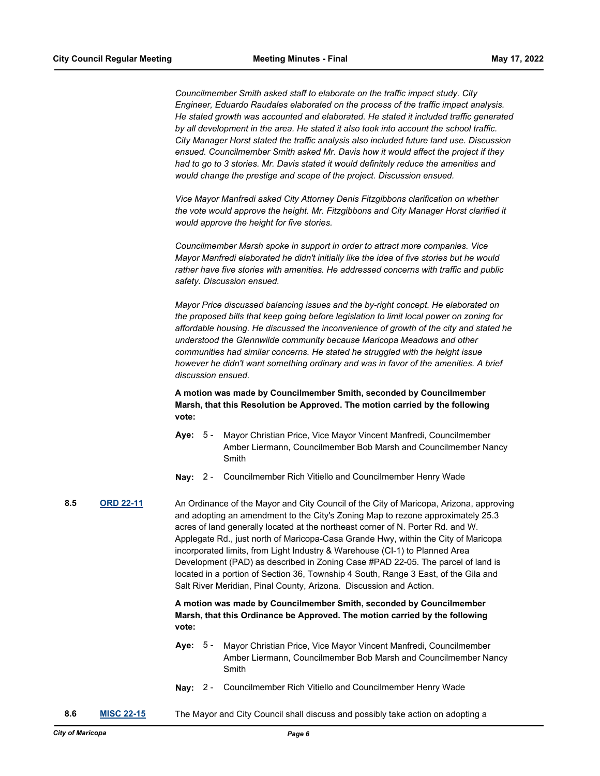*Councilmember Smith asked staff to elaborate on the traffic impact study. City Engineer, Eduardo Raudales elaborated on the process of the traffic impact analysis. He stated growth was accounted and elaborated. He stated it included traffic generated by all development in the area. He stated it also took into account the school traffic. City Manager Horst stated the traffic analysis also included future land use. Discussion ensued. Councilmember Smith asked Mr. Davis how it would affect the project if they had to go to 3 stories. Mr. Davis stated it would definitely reduce the amenities and would change the prestige and scope of the project. Discussion ensued.*

*Vice Mayor Manfredi asked City Attorney Denis Fitzgibbons clarification on whether the vote would approve the height. Mr. Fitzgibbons and City Manager Horst clarified it would approve the height for five stories.* 

*Councilmember Marsh spoke in support in order to attract more companies. Vice Mayor Manfredi elaborated he didn't initially like the idea of five stories but he would rather have five stories with amenities. He addressed concerns with traffic and public safety. Discussion ensued.* 

*Mayor Price discussed balancing issues and the by-right concept. He elaborated on the proposed bills that keep going before legislation to limit local power on zoning for affordable housing. He discussed the inconvenience of growth of the city and stated he understood the Glennwilde community because Maricopa Meadows and other communities had similar concerns. He stated he struggled with the height issue however he didn't want something ordinary and was in favor of the amenities. A brief discussion ensued.*

**A motion was made by Councilmember Smith, seconded by Councilmember Marsh, that this Resolution be Approved. The motion carried by the following vote:**

- **Aye:** Mayor Christian Price, Vice Mayor Vincent Manfredi, Councilmember Amber Liermann, Councilmember Bob Marsh and Councilmember Nancy Smith Aye: 5 -
- **Nay:** 2 Councilmember Rich Vitiello and Councilmember Henry Wade

**8.5 [ORD 22-11](http://maricopa.legistar.com/gateway.aspx?m=l&id=/matter.aspx?key=11226)** An Ordinance of the Mayor and City Council of the City of Maricopa, Arizona, approving and adopting an amendment to the City's Zoning Map to rezone approximately 25.3 acres of land generally located at the northeast corner of N. Porter Rd. and W. Applegate Rd., just north of Maricopa-Casa Grande Hwy, within the City of Maricopa incorporated limits, from Light Industry & Warehouse (CI-1) to Planned Area Development (PAD) as described in Zoning Case #PAD 22-05. The parcel of land is located in a portion of Section 36, Township 4 South, Range 3 East, of the Gila and Salt River Meridian, Pinal County, Arizona. Discussion and Action.

> **A motion was made by Councilmember Smith, seconded by Councilmember Marsh, that this Ordinance be Approved. The motion carried by the following vote:**

- **Aye:** Mayor Christian Price, Vice Mayor Vincent Manfredi, Councilmember Amber Liermann, Councilmember Bob Marsh and Councilmember Nancy Smith Aye: 5 -
- **Nay:** 2 Councilmember Rich Vitiello and Councilmember Henry Wade
- **8.6 [MISC 22-15](http://maricopa.legistar.com/gateway.aspx?m=l&id=/matter.aspx?key=11237)** The Mayor and City Council shall discuss and possibly take action on adopting a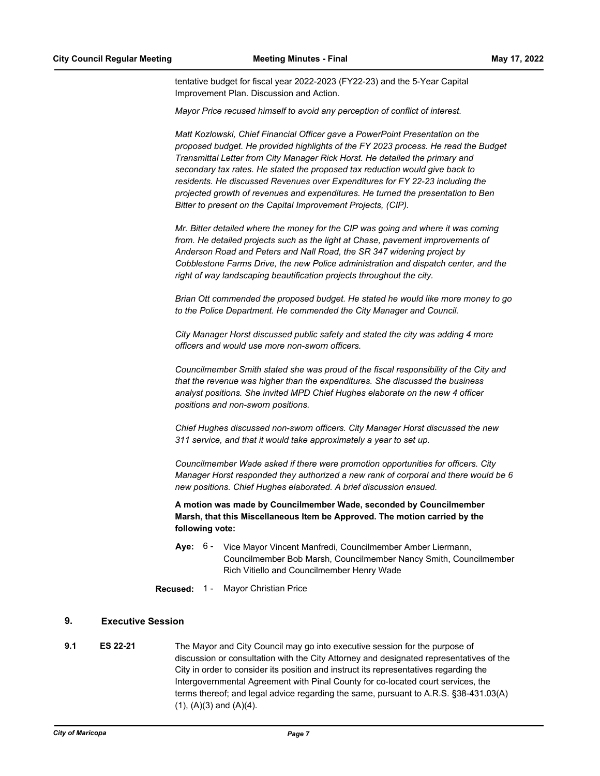tentative budget for fiscal year 2022-2023 (FY22-23) and the 5-Year Capital Improvement Plan. Discussion and Action.

*Mayor Price recused himself to avoid any perception of conflict of interest.*

*Matt Kozlowski, Chief Financial Officer gave a PowerPoint Presentation on the proposed budget. He provided highlights of the FY 2023 process. He read the Budget Transmittal Letter from City Manager Rick Horst. He detailed the primary and secondary tax rates. He stated the proposed tax reduction would give back to residents. He discussed Revenues over Expenditures for FY 22-23 including the projected growth of revenues and expenditures. He turned the presentation to Ben Bitter to present on the Capital Improvement Projects, (CIP).* 

*Mr. Bitter detailed where the money for the CIP was going and where it was coming from. He detailed projects such as the light at Chase, pavement improvements of Anderson Road and Peters and Nall Road, the SR 347 widening project by Cobblestone Farms Drive, the new Police administration and dispatch center, and the right of way landscaping beautification projects throughout the city.*

*Brian Ott commended the proposed budget. He stated he would like more money to go to the Police Department. He commended the City Manager and Council.* 

*City Manager Horst discussed public safety and stated the city was adding 4 more officers and would use more non-sworn officers.* 

*Councilmember Smith stated she was proud of the fiscal responsibility of the City and that the revenue was higher than the expenditures. She discussed the business analyst positions. She invited MPD Chief Hughes elaborate on the new 4 officer positions and non-sworn positions.* 

*Chief Hughes discussed non-sworn officers. City Manager Horst discussed the new 311 service, and that it would take approximately a year to set up.* 

*Councilmember Wade asked if there were promotion opportunities for officers. City Manager Horst responded they authorized a new rank of corporal and there would be 6 new positions. Chief Hughes elaborated. A brief discussion ensued.*

**A motion was made by Councilmember Wade, seconded by Councilmember Marsh, that this Miscellaneous Item be Approved. The motion carried by the following vote:**

- Aye: 6 Vice Mayor Vincent Manfredi, Councilmember Amber Liermann, Councilmember Bob Marsh, Councilmember Nancy Smith, Councilmember Rich Vitiello and Councilmember Henry Wade
- **Recused:** 1 Mayor Christian Price

## **9. Executive Session**

**9.1 ES 22-21** The Mayor and City Council may go into executive session for the purpose of discussion or consultation with the City Attorney and designated representatives of the City in order to consider its position and instruct its representatives regarding the Intergovernmental Agreement with Pinal County for co-located court services, the terms thereof; and legal advice regarding the same, pursuant to A.R.S. §38-431.03(A)  $(1)$ ,  $(A)(3)$  and  $(A)(4)$ .